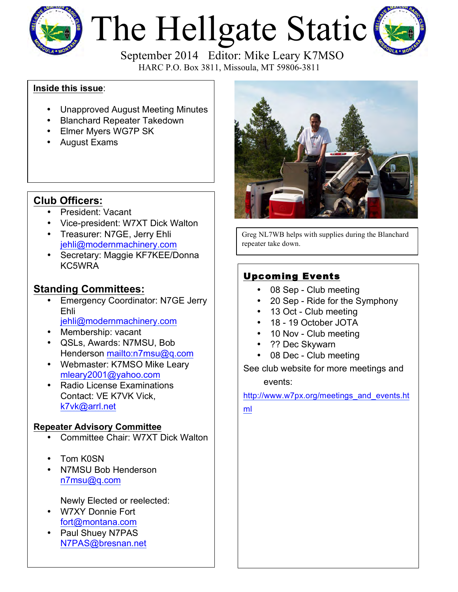

# The Hellgate Static



HARC P.O. Box 3811, Missoula, MT 59806-3811

#### **Inside this issue**:

- Unapproved August Meeting Minutes
- Blanchard Repeater Takedown
- Elmer Myers WG7P SK
- August Exams

#### **Club Officers:**

- President: Vacant
- Vice-president: W7XT Dick Walton
- Treasurer: N7GE, Jerry Ehli jehli@modernmachinery.com
- Secretary: Maggie KF7KEE/Donna KC5WRA

#### **Standing Committees:**

- **Emergency Coordinator: N7GE Jerry** Ehli jehli@modernmachinery.com
- Membership: vacant
- QSLs, Awards: N7MSU, Bob Henderson mailto:n7msu@q.com
- Webmaster: K7MSO Mike Leary mleary2001@yahoo.com
- Radio License Examinations Contact: VE K7VK Vick, k7vk@arrl.net

#### **Repeater Advisory Committee**

- Committee Chair: W7XT Dick Walton
- Tom K0SN
- N7MSU Bob Henderson n7msu@q.com

Newly Elected or reelected:

- W7XY Donnie Fort fort@montana.com
- Paul Shuey N7PAS N7PAS@bresnan.net



Greg NL7WB helps with supplies during the Blanchard repeater take down.

### Upcoming Events

- 08 Sep Club meeting
- 20 Sep Ride for the Symphony
- 13 Oct Club meeting
- 18 19 October JOTA
- 10 Nov Club meeting
- ?? Dec Skywarn
- 08 Dec Club meeting

See club website for more meetings and

events:

http://www.w7px.org/meetings\_and\_events.ht ml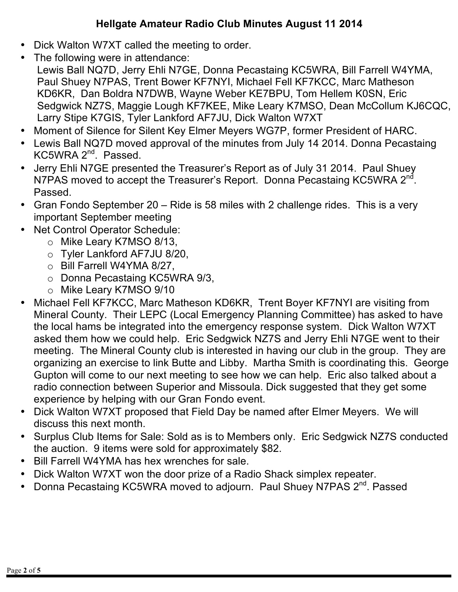### **Hellgate Amateur Radio Club Minutes August 11 2014**

- Dick Walton W7XT called the meeting to order.
- The following were in attendance:
- Lewis Ball NQ7D, Jerry Ehli N7GE, Donna Pecastaing KC5WRA, Bill Farrell W4YMA, Paul Shuey N7PAS, Trent Bower KF7NYI, Michael Fell KF7KCC, Marc Matheson KD6KR, Dan Boldra N7DWB, Wayne Weber KE7BPU, Tom Hellem K0SN, Eric Sedgwick NZ7S, Maggie Lough KF7KEE, Mike Leary K7MSO, Dean McCollum KJ6CQC, Larry Stipe K7GIS, Tyler Lankford AF7JU, Dick Walton W7XT
- Moment of Silence for Silent Key Elmer Meyers WG7P, former President of HARC.
- Lewis Ball NQ7D moved approval of the minutes from July 14 2014. Donna Pecastaing KC5WRA 2<sup>nd</sup>. Passed.
- Jerry Ehli N7GE presented the Treasurer's Report as of July 31 2014. Paul Shuey N7PAS moved to accept the Treasurer's Report. Donna Pecastaing KC5WRA 2<sup>nd</sup>. Passed.
- Gran Fondo September 20 Ride is 58 miles with 2 challenge rides. This is a very important September meeting
- Net Control Operator Schedule:
	- o Mike Leary K7MSO 8/13,
	- o Tyler Lankford AF7JU 8/20,
	- o Bill Farrell W4YMA 8/27,
	- o Donna Pecastaing KC5WRA 9/3,
	- o Mike Leary K7MSO 9/10
- Michael Fell KF7KCC, Marc Matheson KD6KR, Trent Boyer KF7NYI are visiting from Mineral County. Their LEPC (Local Emergency Planning Committee) has asked to have the local hams be integrated into the emergency response system. Dick Walton W7XT asked them how we could help. Eric Sedgwick NZ7S and Jerry Ehli N7GE went to their meeting. The Mineral County club is interested in having our club in the group. They are organizing an exercise to link Butte and Libby. Martha Smith is coordinating this. George Gupton will come to our next meeting to see how we can help. Eric also talked about a radio connection between Superior and Missoula. Dick suggested that they get some experience by helping with our Gran Fondo event.
- Dick Walton W7XT proposed that Field Day be named after Elmer Meyers. We will discuss this next month.
- Surplus Club Items for Sale: Sold as is to Members only. Eric Sedgwick NZ7S conducted the auction. 9 items were sold for approximately \$82.
- Bill Farrell W4YMA has hex wrenches for sale.
- Dick Walton W7XT won the door prize of a Radio Shack simplex repeater.
- Donna Pecastaing KC5WRA moved to adjourn. Paul Shuey N7PAS 2<sup>nd</sup>. Passed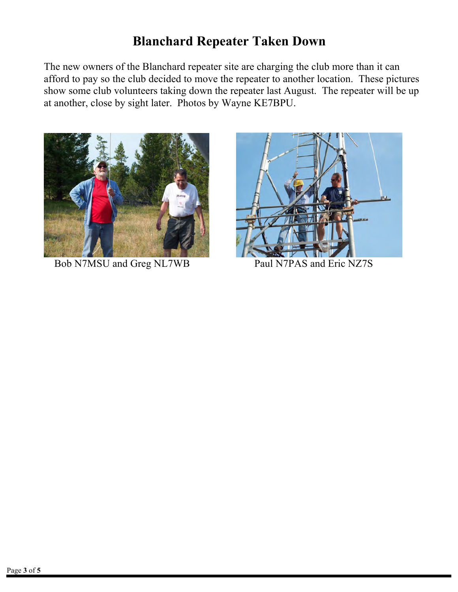## **Blanchard Repeater Taken Down**

The new owners of the Blanchard repeater site are charging the club more than it can afford to pay so the club decided to move the repeater to another location. These pictures show some club volunteers taking down the repeater last August. The repeater will be up at another, close by sight later. Photos by Wayne KE7BPU.



Bob N7MSU and Greg NL7WB Paul N7PAS and Eric NZ7S

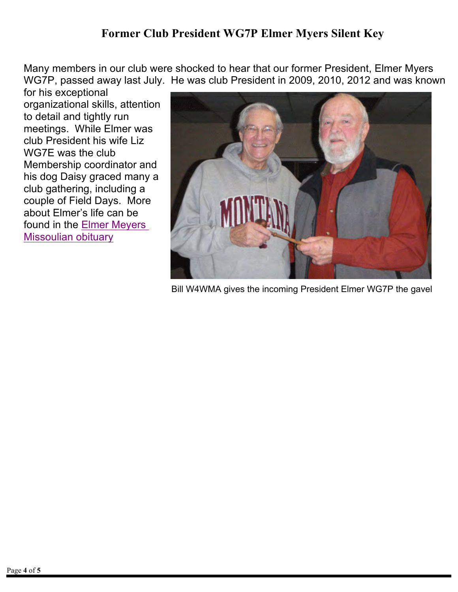## **Former Club President WG7P Elmer Myers Silent Key**

Many members in our club were shocked to hear that our former President, Elmer Myers WG7P, passed away last July. He was club President in 2009, 2010, 2012 and was known

for his exceptional organizational skills, attention to detail and tightly run meetings. While Elmer was club President his wife Liz WG7E was the club Membership coordinator and his dog Daisy graced many a club gathering, including a couple of Field Days. More about Elmer's life can be found in the Elmer Meyers Missoulian obituary



Bill W4WMA gives the incoming President Elmer WG7P the gavel